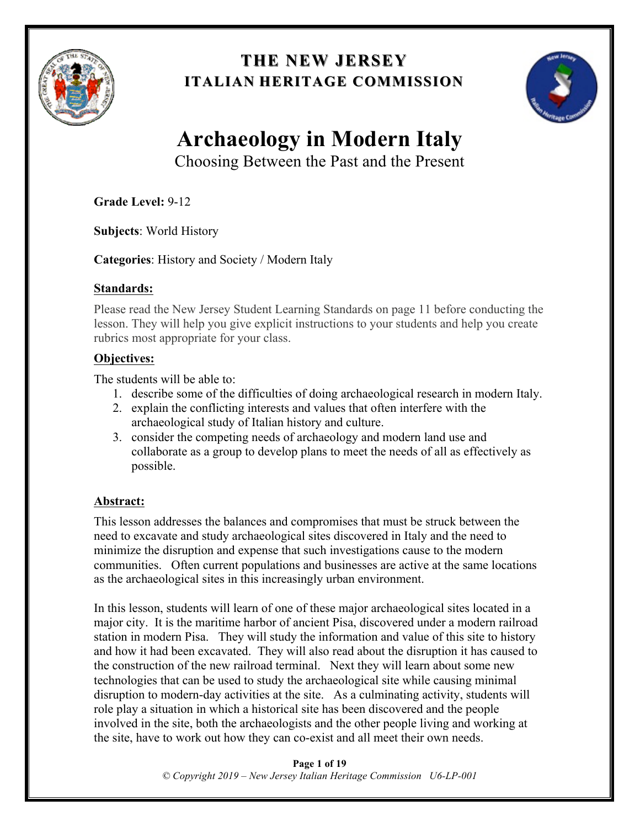

### **THE NEW JERSEY THE NEW JERSEY ITALIAN HERITAGE COMMISSION**



# **Archaeology in Modern Italy**

Choosing Between the Past and the Present

**Grade Level:** 9-12

**Subjects**: World History

**Categories**: History and Society / Modern Italy

### **Standards:**

Please read the New Jersey Student Learning Standards on page 11 before conducting the lesson. They will help you give explicit instructions to your students and help you create rubrics most appropriate for your class.

### **Objectives:**

The students will be able to:

- 1. describe some of the difficulties of doing archaeological research in modern Italy.
- 2. explain the conflicting interests and values that often interfere with the archaeological study of Italian history and culture.
- 3. consider the competing needs of archaeology and modern land use and collaborate as a group to develop plans to meet the needs of all as effectively as possible.

### **Abstract:**

This lesson addresses the balances and compromises that must be struck between the need to excavate and study archaeological sites discovered in Italy and the need to minimize the disruption and expense that such investigations cause to the modern communities. Often current populations and businesses are active at the same locations as the archaeological sites in this increasingly urban environment.

In this lesson, students will learn of one of these major archaeological sites located in a major city. It is the maritime harbor of ancient Pisa, discovered under a modern railroad station in modern Pisa. They will study the information and value of this site to history and how it had been excavated. They will also read about the disruption it has caused to the construction of the new railroad terminal. Next they will learn about some new technologies that can be used to study the archaeological site while causing minimal disruption to modern-day activities at the site. As a culminating activity, students will role play a situation in which a historical site has been discovered and the people involved in the site, both the archaeologists and the other people living and working at the site, have to work out how they can co-exist and all meet their own needs.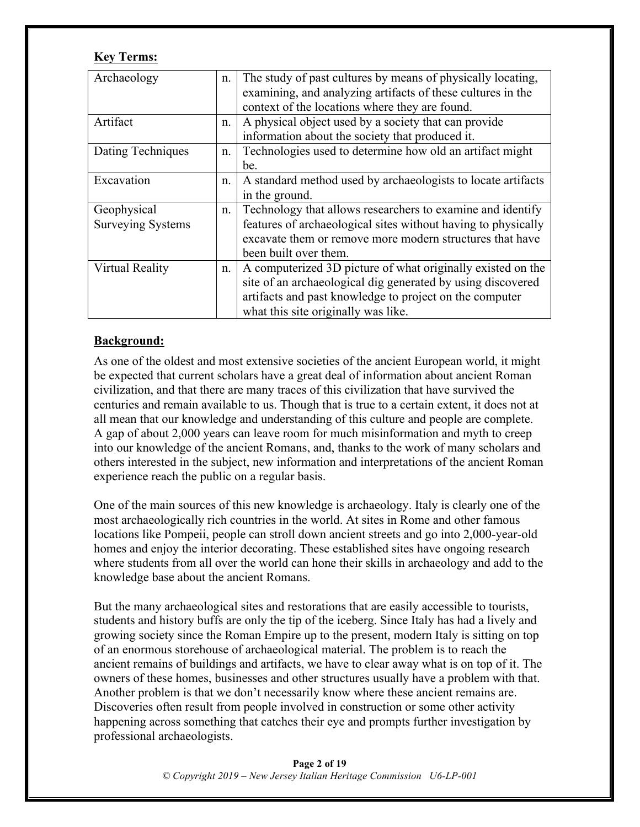### **Key Terms:**

| Archaeology              | n. | The study of past cultures by means of physically locating,<br>examining, and analyzing artifacts of these cultures in the |
|--------------------------|----|----------------------------------------------------------------------------------------------------------------------------|
|                          |    | context of the locations where they are found.                                                                             |
| Artifact                 | n. | A physical object used by a society that can provide                                                                       |
|                          |    | information about the society that produced it.                                                                            |
| Dating Techniques        | n. | Technologies used to determine how old an artifact might                                                                   |
|                          |    | be.                                                                                                                        |
| Excavation               | n. | A standard method used by archaeologists to locate artifacts                                                               |
|                          |    | in the ground.                                                                                                             |
| Geophysical              | n. | Technology that allows researchers to examine and identify                                                                 |
| <b>Surveying Systems</b> |    | features of archaeological sites without having to physically                                                              |
|                          |    | excavate them or remove more modern structures that have                                                                   |
|                          |    | been built over them.                                                                                                      |
| <b>Virtual Reality</b>   | n. | A computerized 3D picture of what originally existed on the                                                                |
|                          |    | site of an archaeological dig generated by using discovered                                                                |
|                          |    | artifacts and past knowledge to project on the computer                                                                    |
|                          |    | what this site originally was like.                                                                                        |

### **Background:**

As one of the oldest and most extensive societies of the ancient European world, it might be expected that current scholars have a great deal of information about ancient Roman civilization, and that there are many traces of this civilization that have survived the centuries and remain available to us. Though that is true to a certain extent, it does not at all mean that our knowledge and understanding of this culture and people are complete. A gap of about 2,000 years can leave room for much misinformation and myth to creep into our knowledge of the ancient Romans, and, thanks to the work of many scholars and others interested in the subject, new information and interpretations of the ancient Roman experience reach the public on a regular basis.

One of the main sources of this new knowledge is archaeology. Italy is clearly one of the most archaeologically rich countries in the world. At sites in Rome and other famous locations like Pompeii, people can stroll down ancient streets and go into 2,000-year-old homes and enjoy the interior decorating. These established sites have ongoing research where students from all over the world can hone their skills in archaeology and add to the knowledge base about the ancient Romans.

But the many archaeological sites and restorations that are easily accessible to tourists, students and history buffs are only the tip of the iceberg. Since Italy has had a lively and growing society since the Roman Empire up to the present, modern Italy is sitting on top of an enormous storehouse of archaeological material. The problem is to reach the ancient remains of buildings and artifacts, we have to clear away what is on top of it. The owners of these homes, businesses and other structures usually have a problem with that. Another problem is that we don't necessarily know where these ancient remains are. Discoveries often result from people involved in construction or some other activity happening across something that catches their eye and prompts further investigation by professional archaeologists.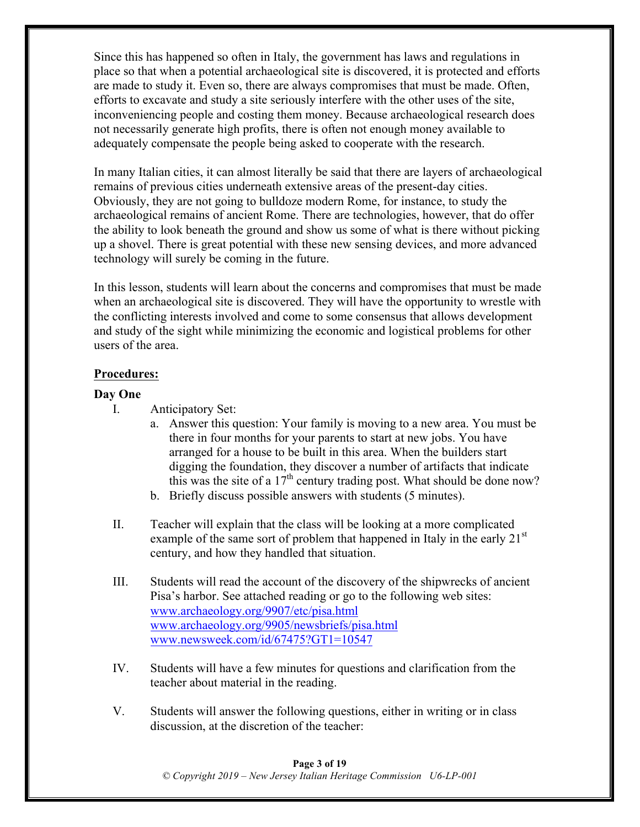Since this has happened so often in Italy, the government has laws and regulations in place so that when a potential archaeological site is discovered, it is protected and efforts are made to study it. Even so, there are always compromises that must be made. Often, efforts to excavate and study a site seriously interfere with the other uses of the site, inconveniencing people and costing them money. Because archaeological research does not necessarily generate high profits, there is often not enough money available to adequately compensate the people being asked to cooperate with the research.

In many Italian cities, it can almost literally be said that there are layers of archaeological remains of previous cities underneath extensive areas of the present-day cities. Obviously, they are not going to bulldoze modern Rome, for instance, to study the archaeological remains of ancient Rome. There are technologies, however, that do offer the ability to look beneath the ground and show us some of what is there without picking up a shovel. There is great potential with these new sensing devices, and more advanced technology will surely be coming in the future.

In this lesson, students will learn about the concerns and compromises that must be made when an archaeological site is discovered. They will have the opportunity to wrestle with the conflicting interests involved and come to some consensus that allows development and study of the sight while minimizing the economic and logistical problems for other users of the area.

### **Procedures:**

### **Day One**

- I. Anticipatory Set:
	- a. Answer this question: Your family is moving to a new area. You must be there in four months for your parents to start at new jobs. You have arranged for a house to be built in this area. When the builders start digging the foundation, they discover a number of artifacts that indicate this was the site of a  $17<sup>th</sup>$  century trading post. What should be done now?
	- b. Briefly discuss possible answers with students (5 minutes).
- II. Teacher will explain that the class will be looking at a more complicated example of the same sort of problem that happened in Italy in the early  $21<sup>st</sup>$ century, and how they handled that situation.
- III. Students will read the account of the discovery of the shipwrecks of ancient Pisa's harbor. See attached reading or go to the following web sites: www.archaeology.org/9907/etc/pisa.html www.archaeology.org/9905/newsbriefs/pisa.html www.newsweek.com/id/67475?GT1=10547
- IV. Students will have a few minutes for questions and clarification from the teacher about material in the reading.
- V. Students will answer the following questions, either in writing or in class discussion, at the discretion of the teacher:

**Page 3 of 19** *© Copyright 2019 – New Jersey Italian Heritage Commission U6-LP-001*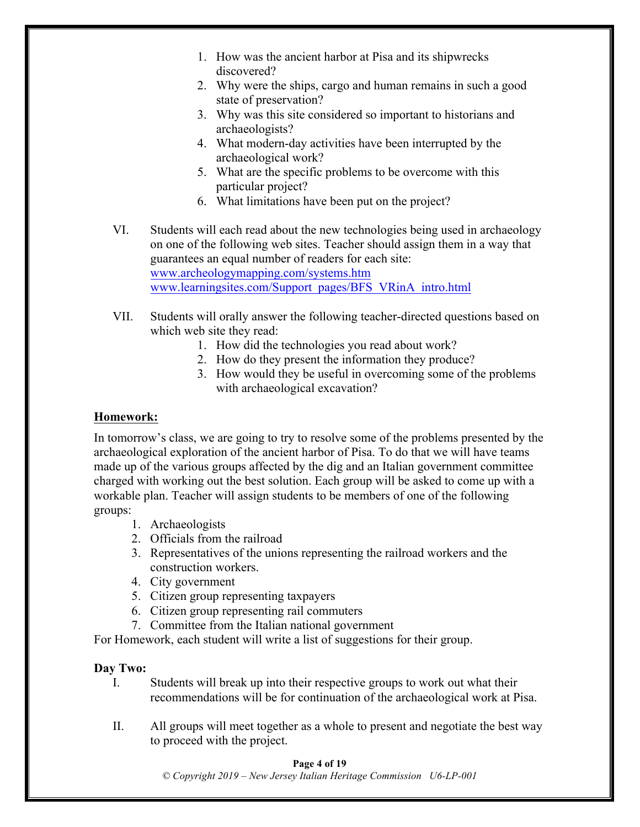- 1. How was the ancient harbor at Pisa and its shipwrecks discovered?
- 2. Why were the ships, cargo and human remains in such a good state of preservation?
- 3. Why was this site considered so important to historians and archaeologists?
- 4. What modern-day activities have been interrupted by the archaeological work?
- 5. What are the specific problems to be overcome with this particular project?
- 6. What limitations have been put on the project?
- VI. Students will each read about the new technologies being used in archaeology on one of the following web sites. Teacher should assign them in a way that guarantees an equal number of readers for each site: www.archeologymapping.com/systems.htm www.learningsites.com/Support\_pages/BFS\_VRinA\_intro.html
- VII. Students will orally answer the following teacher-directed questions based on which web site they read:
	- 1. How did the technologies you read about work?
	- 2. How do they present the information they produce?
	- 3. How would they be useful in overcoming some of the problems with archaeological excavation?

### **Homework:**

In tomorrow's class, we are going to try to resolve some of the problems presented by the archaeological exploration of the ancient harbor of Pisa. To do that we will have teams made up of the various groups affected by the dig and an Italian government committee charged with working out the best solution. Each group will be asked to come up with a workable plan. Teacher will assign students to be members of one of the following groups:

- 1. Archaeologists
- 2. Officials from the railroad
- 3. Representatives of the unions representing the railroad workers and the construction workers.
- 4. City government
- 5. Citizen group representing taxpayers
- 6. Citizen group representing rail commuters
- 7. Committee from the Italian national government

For Homework, each student will write a list of suggestions for their group.

### **Day Two:**

- I. Students will break up into their respective groups to work out what their recommendations will be for continuation of the archaeological work at Pisa.
- II. All groups will meet together as a whole to present and negotiate the best way to proceed with the project.

### **Page 4 of 19**

*© Copyright 2019 – New Jersey Italian Heritage Commission U6-LP-001*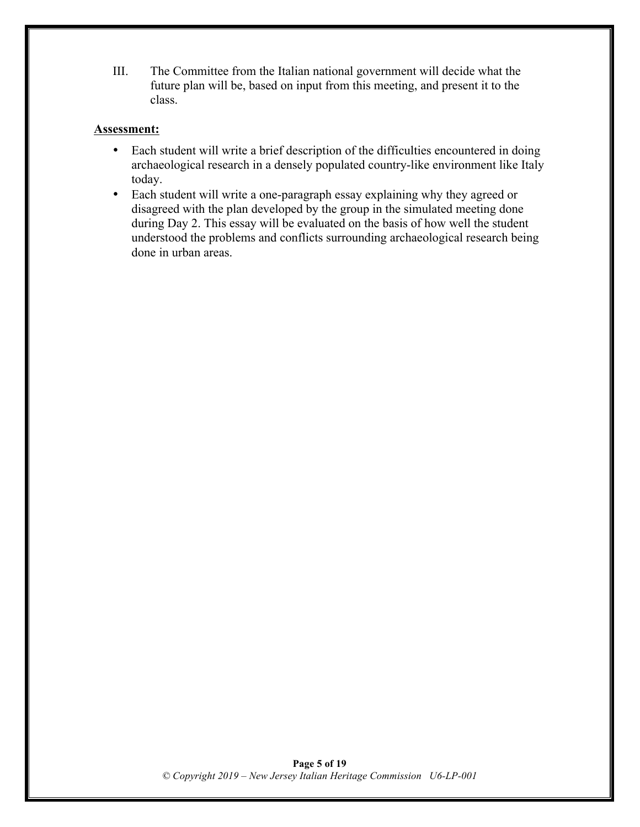III. The Committee from the Italian national government will decide what the future plan will be, based on input from this meeting, and present it to the class.

### **Assessment:**

- Each student will write a brief description of the difficulties encountered in doing archaeological research in a densely populated country-like environment like Italy today.
- Each student will write a one-paragraph essay explaining why they agreed or disagreed with the plan developed by the group in the simulated meeting done during Day 2. This essay will be evaluated on the basis of how well the student understood the problems and conflicts surrounding archaeological research being done in urban areas.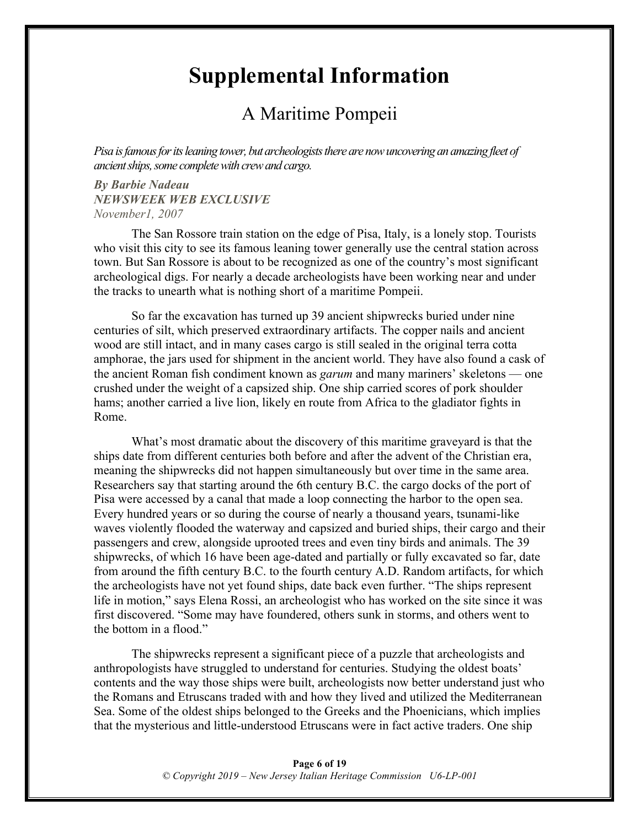## **Supplemental Information**

### A Maritime Pompeii

*Pisa is famous for its leaning tower, but archeologists there are now uncovering an amazing fleet of ancient ships, some complete with crew and cargo.*

*By Barbie Nadeau NEWSWEEK WEB EXCLUSIVE November1, 2007*

The San Rossore train station on the edge of Pisa, Italy, is a lonely stop. Tourists who visit this city to see its famous leaning tower generally use the central station across town. But San Rossore is about to be recognized as one of the country's most significant archeological digs. For nearly a decade archeologists have been working near and under the tracks to unearth what is nothing short of a maritime Pompeii.

So far the excavation has turned up 39 ancient shipwrecks buried under nine centuries of silt, which preserved extraordinary artifacts. The copper nails and ancient wood are still intact, and in many cases cargo is still sealed in the original terra cotta amphorae, the jars used for shipment in the ancient world. They have also found a cask of the ancient Roman fish condiment known as *garum* and many mariners' skeletons — one crushed under the weight of a capsized ship. One ship carried scores of pork shoulder hams; another carried a live lion, likely en route from Africa to the gladiator fights in Rome.

What's most dramatic about the discovery of this maritime graveyard is that the ships date from different centuries both before and after the advent of the Christian era, meaning the shipwrecks did not happen simultaneously but over time in the same area. Researchers say that starting around the 6th century B.C. the cargo docks of the port of Pisa were accessed by a canal that made a loop connecting the harbor to the open sea. Every hundred years or so during the course of nearly a thousand years, tsunami-like waves violently flooded the waterway and capsized and buried ships, their cargo and their passengers and crew, alongside uprooted trees and even tiny birds and animals. The 39 shipwrecks, of which 16 have been age-dated and partially or fully excavated so far, date from around the fifth century B.C. to the fourth century A.D. Random artifacts, for which the archeologists have not yet found ships, date back even further. "The ships represent life in motion," says Elena Rossi, an archeologist who has worked on the site since it was first discovered. "Some may have foundered, others sunk in storms, and others went to the bottom in a flood."

The shipwrecks represent a significant piece of a puzzle that archeologists and anthropologists have struggled to understand for centuries. Studying the oldest boats' contents and the way those ships were built, archeologists now better understand just who the Romans and Etruscans traded with and how they lived and utilized the Mediterranean Sea. Some of the oldest ships belonged to the Greeks and the Phoenicians, which implies that the mysterious and little-understood Etruscans were in fact active traders. One ship

#### **Page 6 of 19** *© Copyright 2019 – New Jersey Italian Heritage Commission U6-LP-001*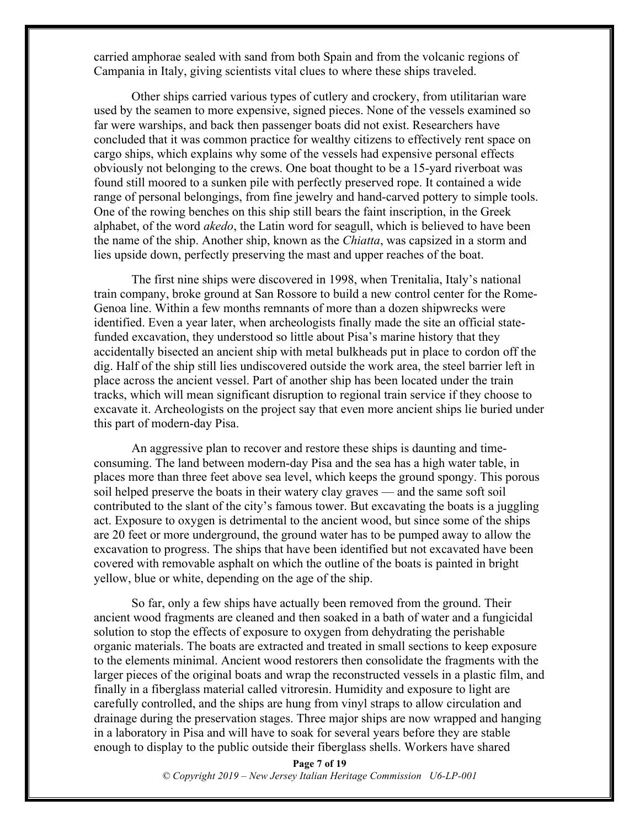carried amphorae sealed with sand from both Spain and from the volcanic regions of Campania in Italy, giving scientists vital clues to where these ships traveled.

Other ships carried various types of cutlery and crockery, from utilitarian ware used by the seamen to more expensive, signed pieces. None of the vessels examined so far were warships, and back then passenger boats did not exist. Researchers have concluded that it was common practice for wealthy citizens to effectively rent space on cargo ships, which explains why some of the vessels had expensive personal effects obviously not belonging to the crews. One boat thought to be a 15-yard riverboat was found still moored to a sunken pile with perfectly preserved rope. It contained a wide range of personal belongings, from fine jewelry and hand-carved pottery to simple tools. One of the rowing benches on this ship still bears the faint inscription, in the Greek alphabet, of the word *akedo*, the Latin word for seagull, which is believed to have been the name of the ship. Another ship, known as the *Chiatta*, was capsized in a storm and lies upside down, perfectly preserving the mast and upper reaches of the boat.

The first nine ships were discovered in 1998, when Trenitalia, Italy's national train company, broke ground at San Rossore to build a new control center for the Rome-Genoa line. Within a few months remnants of more than a dozen shipwrecks were identified. Even a year later, when archeologists finally made the site an official statefunded excavation, they understood so little about Pisa's marine history that they accidentally bisected an ancient ship with metal bulkheads put in place to cordon off the dig. Half of the ship still lies undiscovered outside the work area, the steel barrier left in place across the ancient vessel. Part of another ship has been located under the train tracks, which will mean significant disruption to regional train service if they choose to excavate it. Archeologists on the project say that even more ancient ships lie buried under this part of modern-day Pisa.

An aggressive plan to recover and restore these ships is daunting and timeconsuming. The land between modern-day Pisa and the sea has a high water table, in places more than three feet above sea level, which keeps the ground spongy. This porous soil helped preserve the boats in their watery clay graves — and the same soft soil contributed to the slant of the city's famous tower. But excavating the boats is a juggling act. Exposure to oxygen is detrimental to the ancient wood, but since some of the ships are 20 feet or more underground, the ground water has to be pumped away to allow the excavation to progress. The ships that have been identified but not excavated have been covered with removable asphalt on which the outline of the boats is painted in bright yellow, blue or white, depending on the age of the ship.

So far, only a few ships have actually been removed from the ground. Their ancient wood fragments are cleaned and then soaked in a bath of water and a fungicidal solution to stop the effects of exposure to oxygen from dehydrating the perishable organic materials. The boats are extracted and treated in small sections to keep exposure to the elements minimal. Ancient wood restorers then consolidate the fragments with the larger pieces of the original boats and wrap the reconstructed vessels in a plastic film, and finally in a fiberglass material called vitroresin. Humidity and exposure to light are carefully controlled, and the ships are hung from vinyl straps to allow circulation and drainage during the preservation stages. Three major ships are now wrapped and hanging in a laboratory in Pisa and will have to soak for several years before they are stable enough to display to the public outside their fiberglass shells. Workers have shared

> **Page 7 of 19** *© Copyright 2019 – New Jersey Italian Heritage Commission U6-LP-001*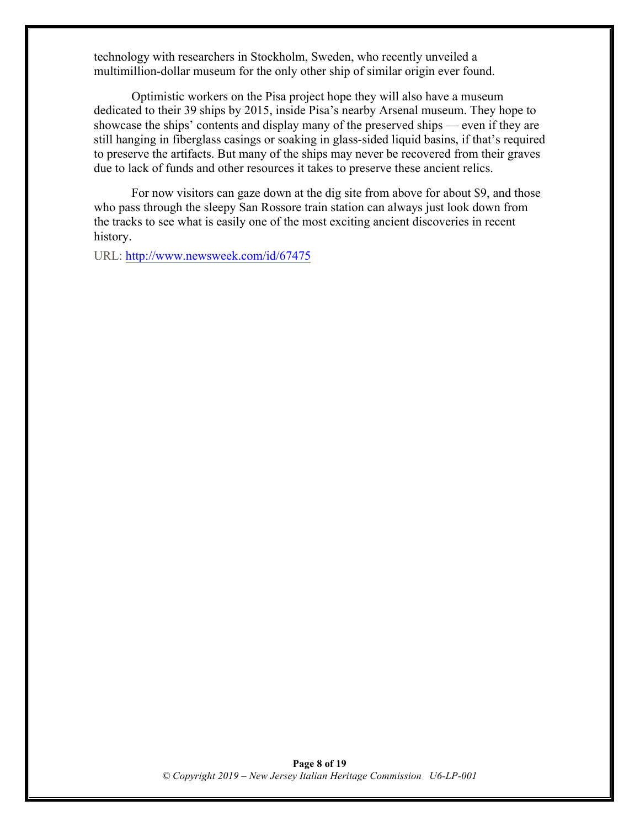technology with researchers in Stockholm, Sweden, who recently unveiled a multimillion-dollar museum for the only other ship of similar origin ever found.

Optimistic workers on the Pisa project hope they will also have a museum dedicated to their 39 ships by 2015, inside Pisa's nearby Arsenal museum. They hope to showcase the ships' contents and display many of the preserved ships — even if they are still hanging in fiberglass casings or soaking in glass-sided liquid basins, if that's required to preserve the artifacts. But many of the ships may never be recovered from their graves due to lack of funds and other resources it takes to preserve these ancient relics.

For now visitors can gaze down at the dig site from above for about \$9, and those who pass through the sleepy San Rossore train station can always just look down from the tracks to see what is easily one of the most exciting ancient discoveries in recent history.

URL: http://www.newsweek.com/id/67475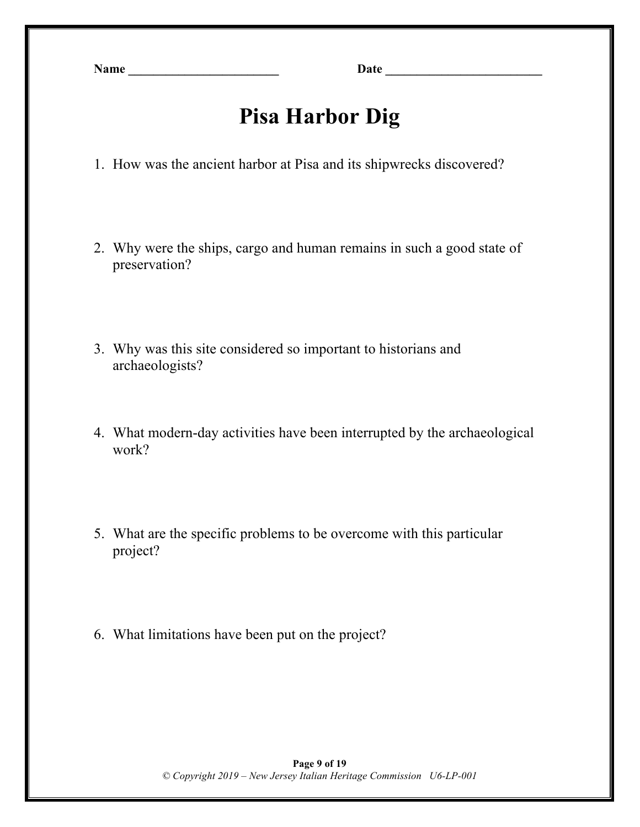**Name \_\_\_\_\_\_\_\_\_\_\_\_\_\_\_\_\_\_\_\_\_\_\_\_ Date \_\_\_\_\_\_\_\_\_\_\_\_\_\_\_\_\_\_\_\_\_\_\_\_\_**

# **Pisa Harbor Dig**

- 1. How was the ancient harbor at Pisa and its shipwrecks discovered?
- 2. Why were the ships, cargo and human remains in such a good state of preservation?
- 3. Why was this site considered so important to historians and archaeologists?
- 4. What modern-day activities have been interrupted by the archaeological work?
- 5. What are the specific problems to be overcome with this particular project?
- 6. What limitations have been put on the project?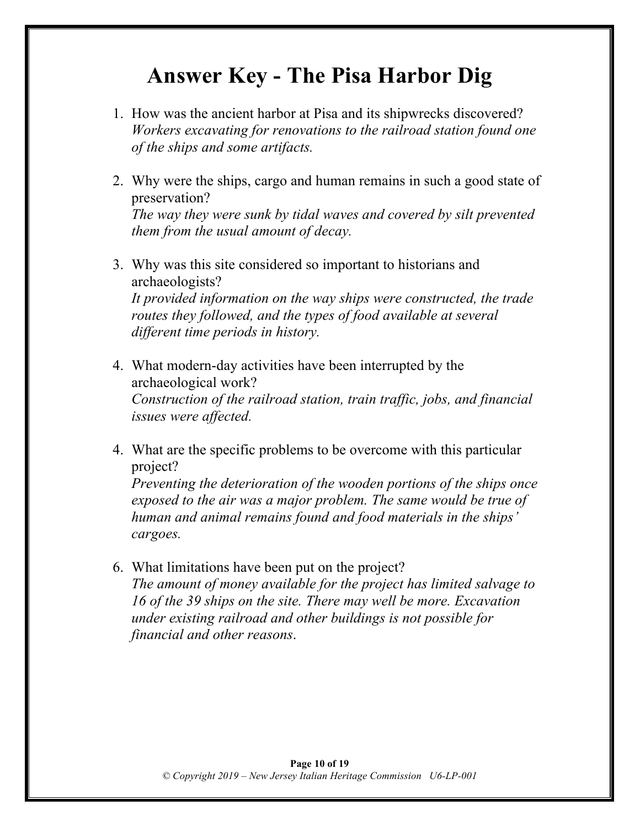## **Answer Key - The Pisa Harbor Dig**

- 1. How was the ancient harbor at Pisa and its shipwrecks discovered? *Workers excavating for renovations to the railroad station found one of the ships and some artifacts.*
- 2. Why were the ships, cargo and human remains in such a good state of preservation? *The way they were sunk by tidal waves and covered by silt prevented them from the usual amount of decay.*
- 3. Why was this site considered so important to historians and archaeologists? *It provided information on the way ships were constructed, the trade routes they followed, and the types of food available at several different time periods in history.*
- 4. What modern-day activities have been interrupted by the archaeological work? *Construction of the railroad station, train traffic, jobs, and financial issues were affected.*
- 4. What are the specific problems to be overcome with this particular project? *Preventing the deterioration of the wooden portions of the ships once exposed to the air was a major problem. The same would be true of human and animal remains found and food materials in the ships' cargoes.*
- 6. What limitations have been put on the project? *The amount of money available for the project has limited salvage to 16 of the 39 ships on the site. There may well be more. Excavation under existing railroad and other buildings is not possible for financial and other reasons*.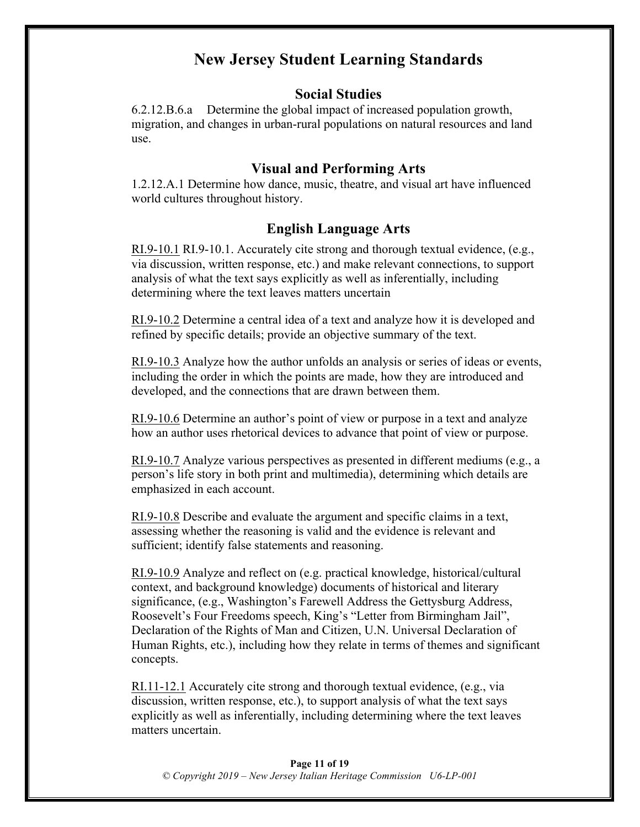### **New Jersey Student Learning Standards**

### **Social Studies**

6.2.12.B.6.a Determine the global impact of increased population growth, migration, and changes in urban-rural populations on natural resources and land use.

### **Visual and Performing Arts**

1.2.12.A.1 Determine how dance, music, theatre, and visual art have influenced world cultures throughout history.

### **English Language Arts**

RI.9-10.1 RI.9-10.1. Accurately cite strong and thorough textual evidence, (e.g., via discussion, written response, etc.) and make relevant connections, to support analysis of what the text says explicitly as well as inferentially, including determining where the text leaves matters uncertain

RI.9-10.2 Determine a central idea of a text and analyze how it is developed and refined by specific details; provide an objective summary of the text.

RI.9-10.3 Analyze how the author unfolds an analysis or series of ideas or events, including the order in which the points are made, how they are introduced and developed, and the connections that are drawn between them.

RI.9-10.6 Determine an author's point of view or purpose in a text and analyze how an author uses rhetorical devices to advance that point of view or purpose.

RI.9-10.7 Analyze various perspectives as presented in different mediums (e.g., a person's life story in both print and multimedia), determining which details are emphasized in each account.

RI.9-10.8 Describe and evaluate the argument and specific claims in a text, assessing whether the reasoning is valid and the evidence is relevant and sufficient; identify false statements and reasoning.

RI.9-10.9 Analyze and reflect on (e.g. practical knowledge, historical/cultural context, and background knowledge) documents of historical and literary significance, (e.g., Washington's Farewell Address the Gettysburg Address, Roosevelt's Four Freedoms speech, King's "Letter from Birmingham Jail", Declaration of the Rights of Man and Citizen, U.N. Universal Declaration of Human Rights, etc.), including how they relate in terms of themes and significant concepts.

RI.11-12.1 Accurately cite strong and thorough textual evidence, (e.g., via discussion, written response, etc.), to support analysis of what the text says explicitly as well as inferentially, including determining where the text leaves matters uncertain.

#### **Page 11 of 19** *© Copyright 2019 – New Jersey Italian Heritage Commission U6-LP-001*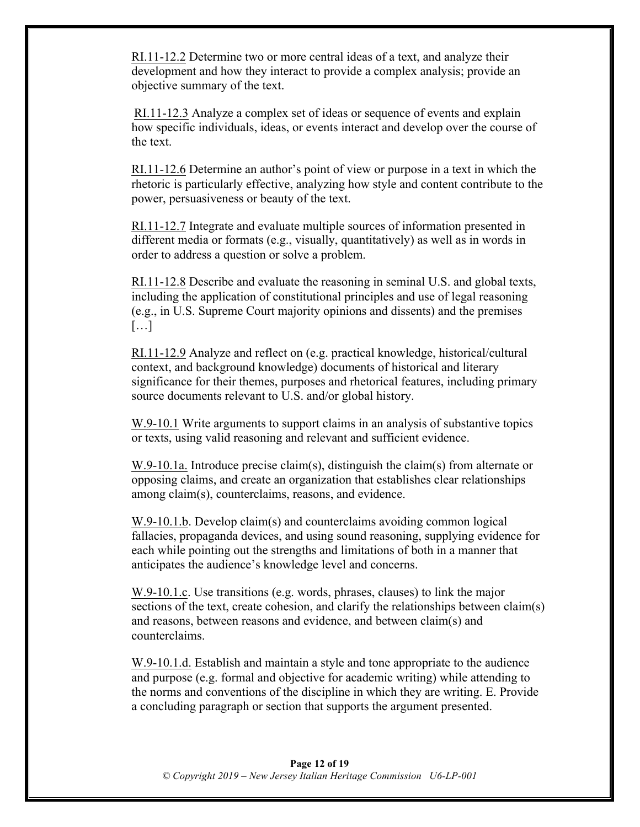RI.11-12.2 Determine two or more central ideas of a text, and analyze their development and how they interact to provide a complex analysis; provide an objective summary of the text.

RI.11-12.3 Analyze a complex set of ideas or sequence of events and explain how specific individuals, ideas, or events interact and develop over the course of the text.

RI.11-12.6 Determine an author's point of view or purpose in a text in which the rhetoric is particularly effective, analyzing how style and content contribute to the power, persuasiveness or beauty of the text.

RI.11-12.7 Integrate and evaluate multiple sources of information presented in different media or formats (e.g., visually, quantitatively) as well as in words in order to address a question or solve a problem.

RI.11-12.8 Describe and evaluate the reasoning in seminal U.S. and global texts, including the application of constitutional principles and use of legal reasoning (e.g., in U.S. Supreme Court majority opinions and dissents) and the premises […]

RI.11-12.9 Analyze and reflect on (e.g. practical knowledge, historical/cultural context, and background knowledge) documents of historical and literary significance for their themes, purposes and rhetorical features, including primary source documents relevant to U.S. and/or global history.

W.9-10.1 Write arguments to support claims in an analysis of substantive topics or texts, using valid reasoning and relevant and sufficient evidence.

W.9-10.1a. Introduce precise claim(s), distinguish the claim(s) from alternate or opposing claims, and create an organization that establishes clear relationships among claim(s), counterclaims, reasons, and evidence.

W.9-10.1.b. Develop claim(s) and counterclaims avoiding common logical fallacies, propaganda devices, and using sound reasoning, supplying evidence for each while pointing out the strengths and limitations of both in a manner that anticipates the audience's knowledge level and concerns.

W.9-10.1.c. Use transitions (e.g. words, phrases, clauses) to link the major sections of the text, create cohesion, and clarify the relationships between claim(s) and reasons, between reasons and evidence, and between claim(s) and counterclaims.

W.9-10.1.d. Establish and maintain a style and tone appropriate to the audience and purpose (e.g. formal and objective for academic writing) while attending to the norms and conventions of the discipline in which they are writing. E. Provide a concluding paragraph or section that supports the argument presented.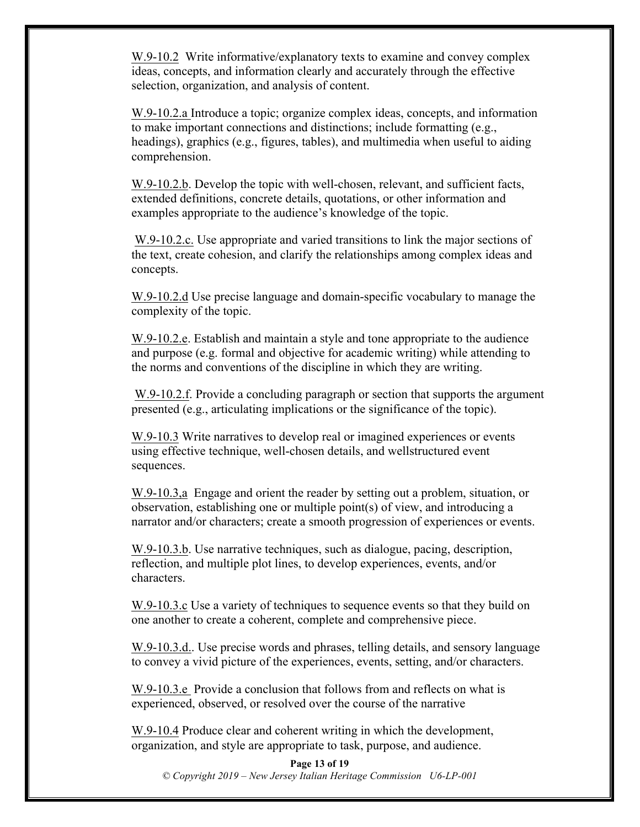W.9-10.2 Write informative/explanatory texts to examine and convey complex ideas, concepts, and information clearly and accurately through the effective selection, organization, and analysis of content.

W.9-10.2.a Introduce a topic; organize complex ideas, concepts, and information to make important connections and distinctions; include formatting (e.g., headings), graphics (e.g., figures, tables), and multimedia when useful to aiding comprehension.

W.9-10.2.b. Develop the topic with well-chosen, relevant, and sufficient facts, extended definitions, concrete details, quotations, or other information and examples appropriate to the audience's knowledge of the topic.

W.9-10.2.c. Use appropriate and varied transitions to link the major sections of the text, create cohesion, and clarify the relationships among complex ideas and concepts.

W.9-10.2.d Use precise language and domain-specific vocabulary to manage the complexity of the topic.

W.9-10.2.e. Establish and maintain a style and tone appropriate to the audience and purpose (e.g. formal and objective for academic writing) while attending to the norms and conventions of the discipline in which they are writing.

W.9-10.2.f. Provide a concluding paragraph or section that supports the argument presented (e.g., articulating implications or the significance of the topic).

W.9-10.3 Write narratives to develop real or imagined experiences or events using effective technique, well-chosen details, and wellstructured event sequences.

W.9-10.3,a Engage and orient the reader by setting out a problem, situation, or observation, establishing one or multiple point(s) of view, and introducing a narrator and/or characters; create a smooth progression of experiences or events.

W.9-10.3.b. Use narrative techniques, such as dialogue, pacing, description, reflection, and multiple plot lines, to develop experiences, events, and/or characters.

W.9-10.3.c Use a variety of techniques to sequence events so that they build on one another to create a coherent, complete and comprehensive piece.

W.9-10.3.d.. Use precise words and phrases, telling details, and sensory language to convey a vivid picture of the experiences, events, setting, and/or characters.

W.9-10.3.e Provide a conclusion that follows from and reflects on what is experienced, observed, or resolved over the course of the narrative

W.9-10.4 Produce clear and coherent writing in which the development, organization, and style are appropriate to task, purpose, and audience.

**Page 13 of 19** *© Copyright 2019 – New Jersey Italian Heritage Commission U6-LP-001*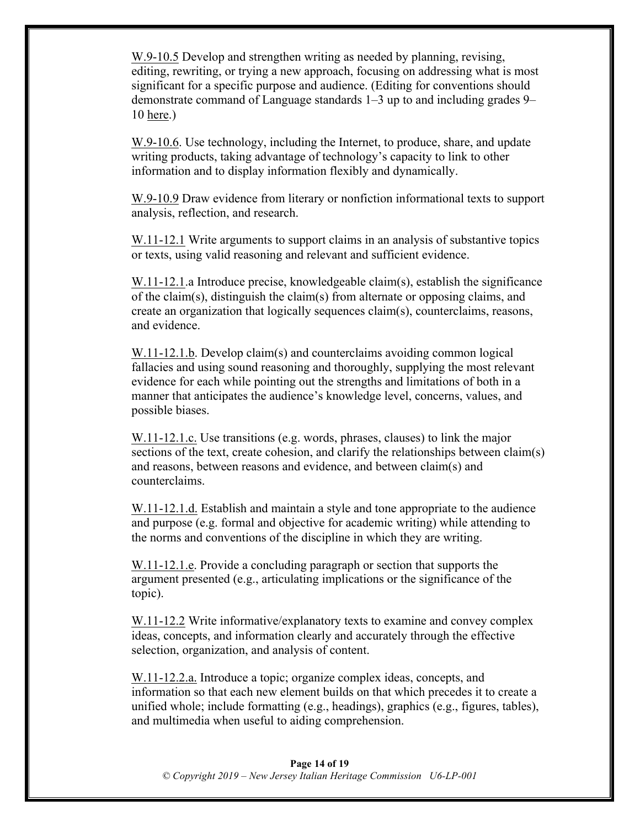W.9-10.5 Develop and strengthen writing as needed by planning, revising, editing, rewriting, or trying a new approach, focusing on addressing what is most significant for a specific purpose and audience. (Editing for conventions should demonstrate command of Language standards 1–3 up to and including grades 9– 10 here.)

W.9-10.6. Use technology, including the Internet, to produce, share, and update writing products, taking advantage of technology's capacity to link to other information and to display information flexibly and dynamically.

W.9-10.9 Draw evidence from literary or nonfiction informational texts to support analysis, reflection, and research.

W.11-12.1 Write arguments to support claims in an analysis of substantive topics or texts, using valid reasoning and relevant and sufficient evidence.

W.11-12.1.a Introduce precise, knowledgeable claim(s), establish the significance of the claim(s), distinguish the claim(s) from alternate or opposing claims, and create an organization that logically sequences claim(s), counterclaims, reasons, and evidence.

W.11-12.1.b. Develop claim(s) and counterclaims avoiding common logical fallacies and using sound reasoning and thoroughly, supplying the most relevant evidence for each while pointing out the strengths and limitations of both in a manner that anticipates the audience's knowledge level, concerns, values, and possible biases.

W.11-12.1.c. Use transitions (e.g. words, phrases, clauses) to link the major sections of the text, create cohesion, and clarify the relationships between claim(s) and reasons, between reasons and evidence, and between claim(s) and counterclaims.

W.11-12.1.d. Establish and maintain a style and tone appropriate to the audience and purpose (e.g. formal and objective for academic writing) while attending to the norms and conventions of the discipline in which they are writing.

W.11-12.1.e. Provide a concluding paragraph or section that supports the argument presented (e.g., articulating implications or the significance of the topic).

W.11-12.2 Write informative/explanatory texts to examine and convey complex ideas, concepts, and information clearly and accurately through the effective selection, organization, and analysis of content.

W.11-12.2.a. Introduce a topic; organize complex ideas, concepts, and information so that each new element builds on that which precedes it to create a unified whole; include formatting (e.g., headings), graphics (e.g., figures, tables), and multimedia when useful to aiding comprehension.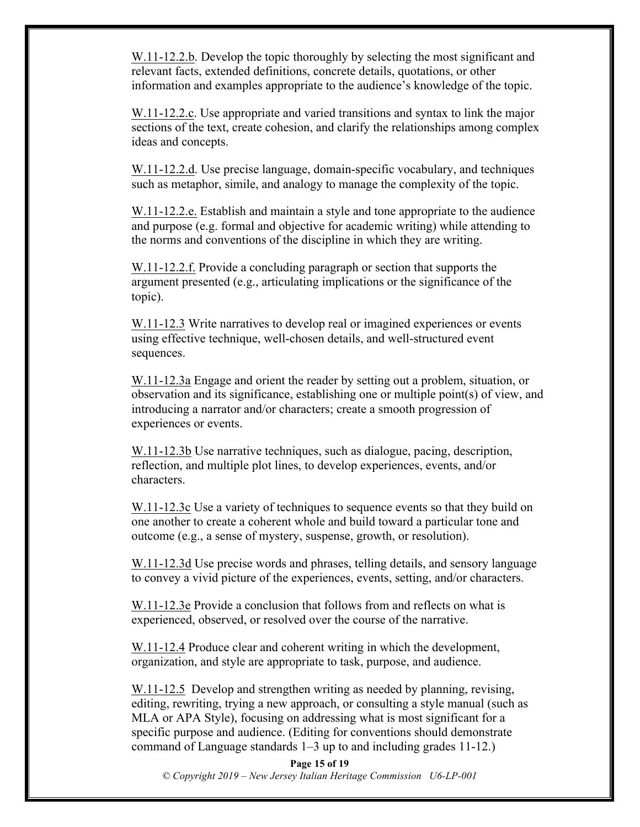W.11-12.2.b. Develop the topic thoroughly by selecting the most significant and relevant facts, extended definitions, concrete details, quotations, or other information and examples appropriate to the audience's knowledge of the topic.

W.11-12.2.c. Use appropriate and varied transitions and syntax to link the major sections of the text, create cohesion, and clarify the relationships among complex ideas and concepts.

W.11-12.2.d. Use precise language, domain-specific vocabulary, and techniques such as metaphor, simile, and analogy to manage the complexity of the topic.

W.11-12.2.e. Establish and maintain a style and tone appropriate to the audience and purpose (e.g. formal and objective for academic writing) while attending to the norms and conventions of the discipline in which they are writing.

W.11-12.2.f. Provide a concluding paragraph or section that supports the argument presented (e.g., articulating implications or the significance of the topic).

W.11-12.3 Write narratives to develop real or imagined experiences or events using effective technique, well-chosen details, and well-structured event sequences.

W.11-12.3a Engage and orient the reader by setting out a problem, situation, or observation and its significance, establishing one or multiple point(s) of view, and introducing a narrator and/or characters; create a smooth progression of experiences or events.

W.11-12.3b Use narrative techniques, such as dialogue, pacing, description, reflection, and multiple plot lines, to develop experiences, events, and/or characters.

W.11-12.3c Use a variety of techniques to sequence events so that they build on one another to create a coherent whole and build toward a particular tone and outcome (e.g., a sense of mystery, suspense, growth, or resolution).

W.11-12.3d Use precise words and phrases, telling details, and sensory language to convey a vivid picture of the experiences, events, setting, and/or characters.

W.11-12.3e Provide a conclusion that follows from and reflects on what is experienced, observed, or resolved over the course of the narrative.

W.11-12.4 Produce clear and coherent writing in which the development, organization, and style are appropriate to task, purpose, and audience.

W.11-12.5 Develop and strengthen writing as needed by planning, revising, editing, rewriting, trying a new approach, or consulting a style manual (such as MLA or APA Style), focusing on addressing what is most significant for a specific purpose and audience. (Editing for conventions should demonstrate command of Language standards 1–3 up to and including grades 11-12.)

**Page 15 of 19** *© Copyright 2019 – New Jersey Italian Heritage Commission U6-LP-001*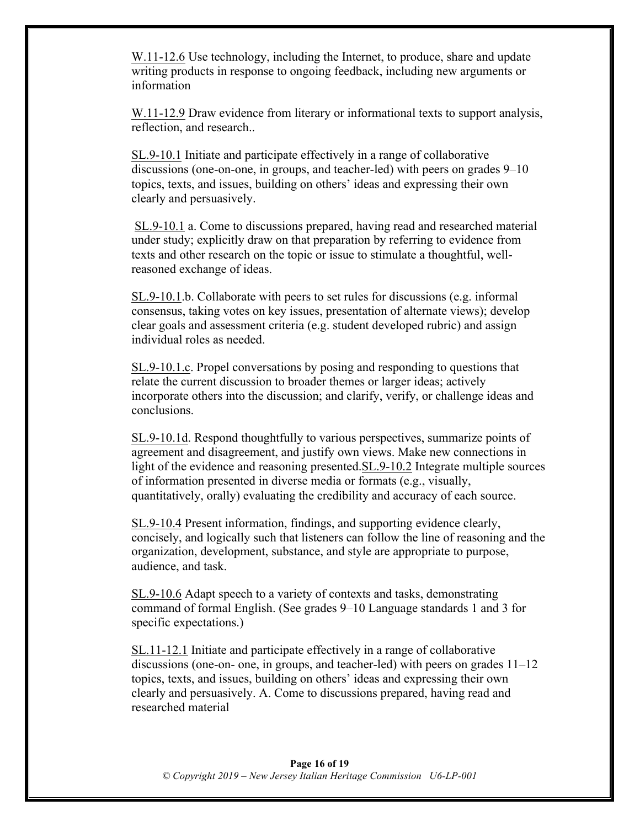W.11-12.6 Use technology, including the Internet, to produce, share and update writing products in response to ongoing feedback, including new arguments or information

W.11-12.9 Draw evidence from literary or informational texts to support analysis, reflection, and research..

SL.9-10.1 Initiate and participate effectively in a range of collaborative discussions (one-on-one, in groups, and teacher-led) with peers on grades 9–10 topics, texts, and issues, building on others' ideas and expressing their own clearly and persuasively.

SL.9-10.1 a. Come to discussions prepared, having read and researched material under study; explicitly draw on that preparation by referring to evidence from texts and other research on the topic or issue to stimulate a thoughtful, wellreasoned exchange of ideas.

SL.9-10.1.b. Collaborate with peers to set rules for discussions (e.g. informal consensus, taking votes on key issues, presentation of alternate views); develop clear goals and assessment criteria (e.g. student developed rubric) and assign individual roles as needed.

SL.9-10.1.c. Propel conversations by posing and responding to questions that relate the current discussion to broader themes or larger ideas; actively incorporate others into the discussion; and clarify, verify, or challenge ideas and conclusions.

SL.9-10.1d. Respond thoughtfully to various perspectives, summarize points of agreement and disagreement, and justify own views. Make new connections in light of the evidence and reasoning presented.SL.9-10.2 Integrate multiple sources of information presented in diverse media or formats (e.g., visually, quantitatively, orally) evaluating the credibility and accuracy of each source.

SL.9-10.4 Present information, findings, and supporting evidence clearly, concisely, and logically such that listeners can follow the line of reasoning and the organization, development, substance, and style are appropriate to purpose, audience, and task.

SL.9-10.6 Adapt speech to a variety of contexts and tasks, demonstrating command of formal English. (See grades 9–10 Language standards 1 and 3 for specific expectations.)

SL.11-12.1 Initiate and participate effectively in a range of collaborative discussions (one-on- one, in groups, and teacher-led) with peers on grades  $11-12$ topics, texts, and issues, building on others' ideas and expressing their own clearly and persuasively. A. Come to discussions prepared, having read and researched material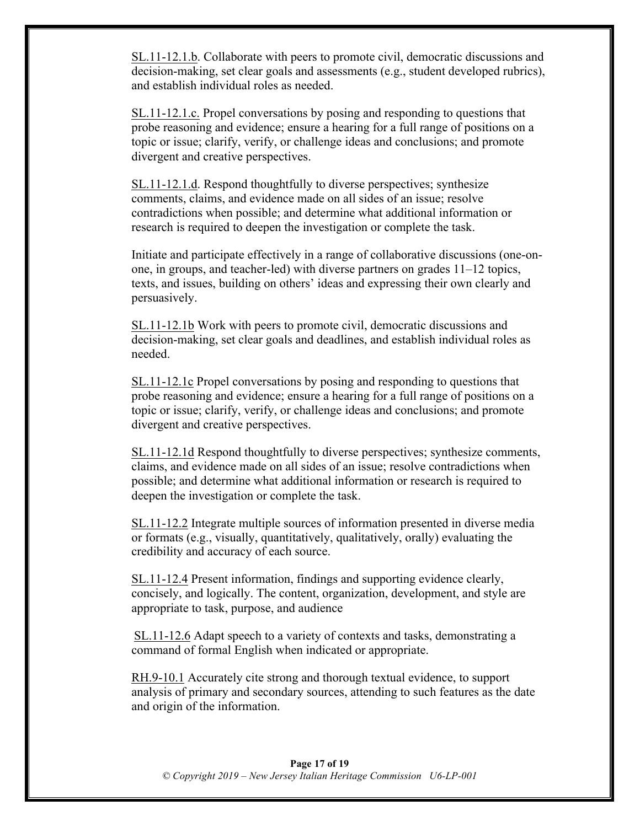SL.11-12.1.b. Collaborate with peers to promote civil, democratic discussions and decision-making, set clear goals and assessments (e.g., student developed rubrics), and establish individual roles as needed.

SL.11-12.1.c. Propel conversations by posing and responding to questions that probe reasoning and evidence; ensure a hearing for a full range of positions on a topic or issue; clarify, verify, or challenge ideas and conclusions; and promote divergent and creative perspectives.

SL.11-12.1.d. Respond thoughtfully to diverse perspectives; synthesize comments, claims, and evidence made on all sides of an issue; resolve contradictions when possible; and determine what additional information or research is required to deepen the investigation or complete the task.

Initiate and participate effectively in a range of collaborative discussions (one-onone, in groups, and teacher-led) with diverse partners on grades 11–12 topics, texts, and issues, building on others' ideas and expressing their own clearly and persuasively.

SL.11-12.1b Work with peers to promote civil, democratic discussions and decision-making, set clear goals and deadlines, and establish individual roles as needed.

SL.11-12.1c Propel conversations by posing and responding to questions that probe reasoning and evidence; ensure a hearing for a full range of positions on a topic or issue; clarify, verify, or challenge ideas and conclusions; and promote divergent and creative perspectives.

SL.11-12.1d Respond thoughtfully to diverse perspectives; synthesize comments, claims, and evidence made on all sides of an issue; resolve contradictions when possible; and determine what additional information or research is required to deepen the investigation or complete the task.

SL.11-12.2 Integrate multiple sources of information presented in diverse media or formats (e.g., visually, quantitatively, qualitatively, orally) evaluating the credibility and accuracy of each source.

SL.11-12.4 Present information, findings and supporting evidence clearly, concisely, and logically. The content, organization, development, and style are appropriate to task, purpose, and audience

SL.11-12.6 Adapt speech to a variety of contexts and tasks, demonstrating a command of formal English when indicated or appropriate.

RH.9-10.1 Accurately cite strong and thorough textual evidence, to support analysis of primary and secondary sources, attending to such features as the date and origin of the information.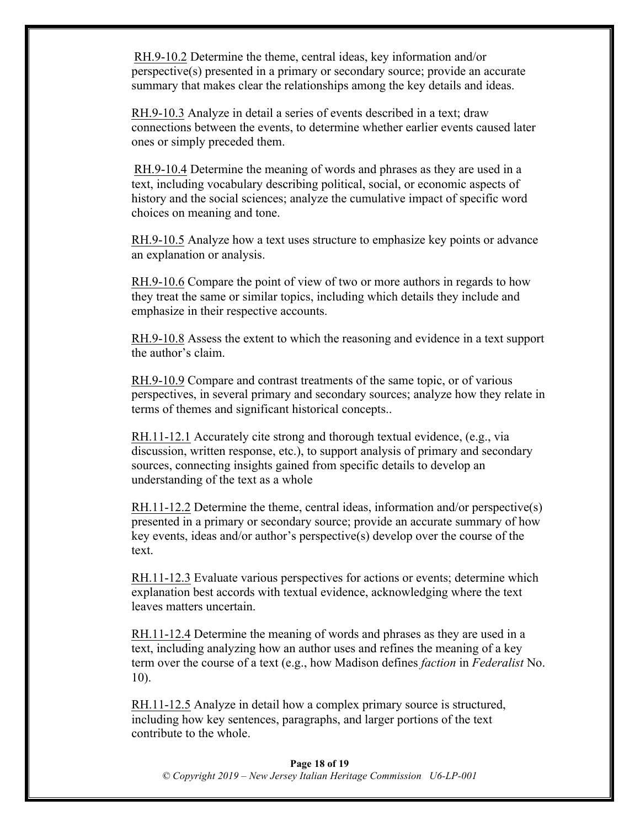RH.9-10.2 Determine the theme, central ideas, key information and/or perspective(s) presented in a primary or secondary source; provide an accurate summary that makes clear the relationships among the key details and ideas.

RH.9-10.3 Analyze in detail a series of events described in a text; draw connections between the events, to determine whether earlier events caused later ones or simply preceded them.

RH.9-10.4 Determine the meaning of words and phrases as they are used in a text, including vocabulary describing political, social, or economic aspects of history and the social sciences; analyze the cumulative impact of specific word choices on meaning and tone.

RH.9-10.5 Analyze how a text uses structure to emphasize key points or advance an explanation or analysis.

RH.9-10.6 Compare the point of view of two or more authors in regards to how they treat the same or similar topics, including which details they include and emphasize in their respective accounts.

RH.9-10.8 Assess the extent to which the reasoning and evidence in a text support the author's claim.

RH.9-10.9 Compare and contrast treatments of the same topic, or of various perspectives, in several primary and secondary sources; analyze how they relate in terms of themes and significant historical concepts..

RH.11-12.1 Accurately cite strong and thorough textual evidence, (e.g., via discussion, written response, etc.), to support analysis of primary and secondary sources, connecting insights gained from specific details to develop an understanding of the text as a whole

RH.11-12.2 Determine the theme, central ideas, information and/or perspective(s) presented in a primary or secondary source; provide an accurate summary of how key events, ideas and/or author's perspective(s) develop over the course of the text.

RH.11-12.3 Evaluate various perspectives for actions or events; determine which explanation best accords with textual evidence, acknowledging where the text leaves matters uncertain.

RH.11-12.4 Determine the meaning of words and phrases as they are used in a text, including analyzing how an author uses and refines the meaning of a key term over the course of a text (e.g., how Madison defines *faction* in *Federalist* No. 10).

RH.11-12.5 Analyze in detail how a complex primary source is structured, including how key sentences, paragraphs, and larger portions of the text contribute to the whole.

#### **Page 18 of 19** *© Copyright 2019 – New Jersey Italian Heritage Commission U6-LP-001*